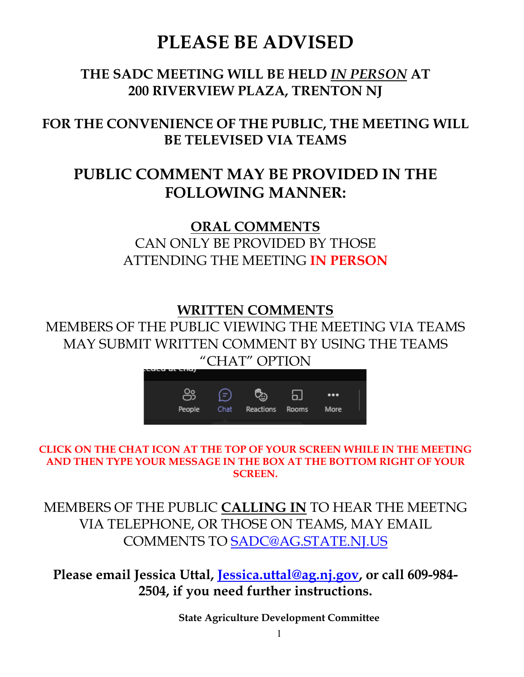# **PLEASE BE ADVISED**

# **THE SADC MEETING WILL BE HELD** *IN PERSON* **AT 200 RIVERVIEW PLAZA, TRENTON NJ**

# **FOR THE CONVENIENCE OF THE PUBLIC, THE MEETING WILL BE TELEVISED VIA TEAMS**

# **PUBLIC COMMENT MAY BE PROVIDED IN THE FOLLOWING MANNER:**

**ORAL COMMENTS**  CAN ONLY BE PROVIDED BY THOSE ATTENDING THE MEETING **IN PERSON**

## **WRITTEN COMMENTS**

MEMBERS OF THE PUBLIC VIEWING THE MEETING VIA TEAMS MAY SUBMIT WRITTEN COMMENT BY USING THE TEAMS "CHAT" OPTION



**CLICK ON THE CHAT ICON AT THE TOP OF YOUR SCREEN WHILE IN THE MEETING AND THEN TYPE YOUR MESSAGE IN THE BOX AT THE BOTTOM RIGHT OF YOUR SCREEN.**

MEMBERS OF THE PUBLIC **CALLING IN** TO HEAR THE MEETNG VIA TELEPHONE, OR THOSE ON TEAMS, MAY EMAIL COMMENTS TO [SADC@AG.STATE.NJ.US](mailto:SADC@AG.STATE.NJ.US)

**Please email Jessica Uttal, [Jessica.uttal@ag.nj.gov,](mailto:Jessica.uttal@ag.nj.gov) or call 609-984- 2504, if you need further instructions.**

**State Agriculture Development Committee**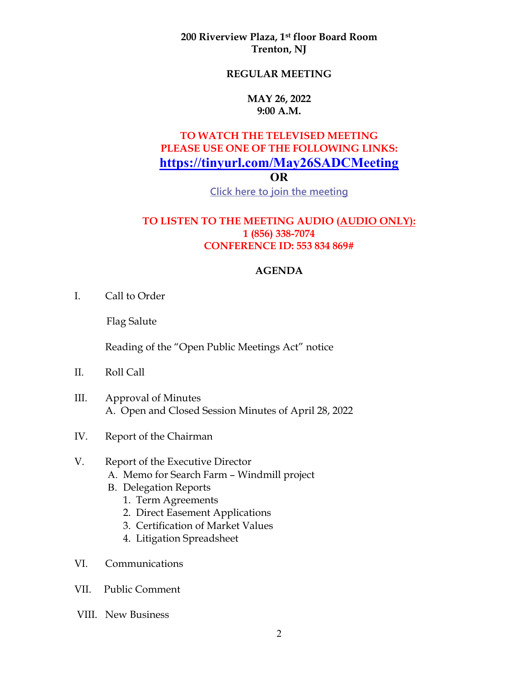**200 Riverview Plaza, 1st floor Board Room Trenton, NJ**

### **REGULAR MEETING**

#### **MAY 26, 2022 9:00 A.M.**

### **TO WATCH THE TELEVISED MEETING PLEASE USE ONE OF THE FOLLOWING LINKS: <https://tinyurl.com/May26SADCMeeting> OR**

**[Click here to join the meeting](https://teams.microsoft.com/l/meetup-join/19%3ameeting_OGEzMDhmMzQtZDA1ZC00MTE4LWEwOWMtZDU5OTg2MjNmYzA5%40thread.v2/0?context=%7b%22Tid%22%3a%225076c3d1-3802-4b9f-b36a-e0a41bd642a7%22%2c%22Oid%22%3a%22cdea687c-e40d-4142-a0b7-96a1ca3ed477%22%7d)**

### **TO LISTEN TO THE MEETING AUDIO (AUDIO ONLY): 1 (856) 338-7074 CONFERENCE ID: 553 834 869#**

#### **AGENDA**

I. Call to Order

Flag Salute

Reading of the "Open Public Meetings Act" notice

- II. Roll Call
- III. Approval of Minutes A. Open and Closed Session Minutes of April 28, 2022
- IV. Report of the Chairman

### V. Report of the Executive Director

- A. Memo for Search Farm Windmill project
- B. Delegation Reports
	- 1. Term Agreements
	- 2. Direct Easement Applications
	- 3. Certification of Market Values
	- 4. Litigation Spreadsheet
- VI. Communications
- VII. Public Comment
- VIII. New Business